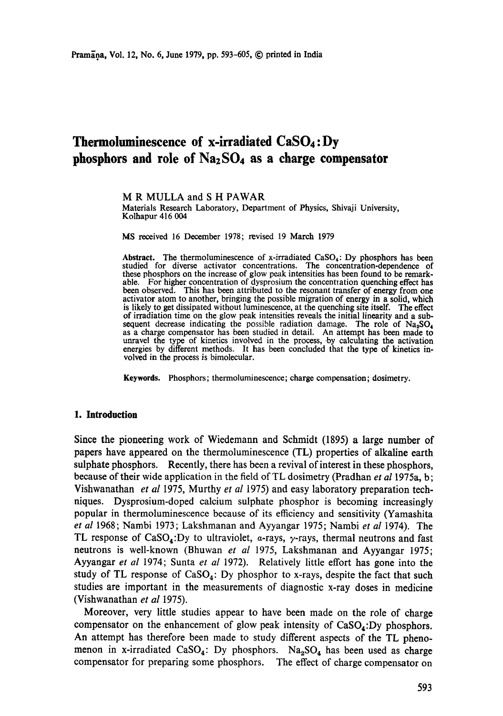# **Thermoluminescence of x-irradiated CaSO4: Dy phosphors and role of NazSO4 as a charge compensator**

M R MULLA and S H PAWAR Materials Research Laboratory, Department of Physics, Shivaji University, Kolhapur 416 004

**MS** received 16 December 1978; revised 19 March 1979

Abstract. The thermoluminescence of x-irradiated  $CaSO<sub>4</sub>$ : Dy phosphors has been studied for diverse activator concentrations. The concentration-dependence of these phosphors on the increase of glow peak intensities has been found to be remarkable. For higher concentration of dysprosium the concentration quenching effect has been observed. This has been attributed to the resonant transfer of energy from **one**  activator atom to another, bringing the possible migration of energy in a solid, **which**  is likely to get dissipated without luminescence, at the quenching site itself. The effect of irradiation time on the glow peak intensities reveals the initial linearity and a subsequent decrease indicating the possible radiation damage. The role of  $Na<sub>2</sub>SO<sub>4</sub>$ as a charge compensator has been studied in detail. An attempt has been made **to**  unravel the type of kinetics involved in the process, by calculating the activation energies by different methods. It has been concluded that the type of kinetics involved in the process is bimolecular.

**Keywords.** Phosphors; thermoluminescence; charge compensation; dosimetry.

#### **1. Introduction**

Since the pioneering work of Wiedemann and Schmidt (1895) a large number of papers have appeared on the thermoluminescence (TL) properties of alkaline earth sulphate phosphors. Recently, there has been a revival of interest in these phosphors, because of their wide application in the field of TL dosimetry (Pradhan *et al* 1975a, b; Vishwanathan *et al* 1975, Murthy *et al* 1975) and easy laboratory preparation techniques. Dysprosium-doped calcium sulphate phosphor is becoming increasingly popular in thermoluminescence because of its efficiency and sensitivity (Yamashita *et al* 1968; Nambi 1973; Lakshmanan and Ayyangar 1975; Nambi *et al* I974). The TL response of CaSO<sub>4</sub>: Dy to ultraviolet,  $\alpha$ -rays,  $\gamma$ -rays, thermal neutrons and fast neutrons is well-known (Bhuwan *et al* 1975, Lakshmanan and Ayyangar 1975; Ayyangar *et al* 1974; Sunta *et al* 1972). Relatively little effort has gone into the study of TL response of  $CaSO<sub>4</sub>$ : Dy phosphor to x-rays, despite the fact that such studies are important in the measurements of diagnostic x-ray doses in medicine (Vishwanathan *et al* 1975).

Moreover, very little studies appear to have been made on the role of charge compensator on the enhancement of glow peak intensity of CaSO<sub>4</sub>:Dy phosphors. An attempt has therefore been made to study different aspects of the TL phenomenon in x-irradiated CaSO<sub>4</sub>: Dy phosphors. Na<sub>2</sub>SO<sub>4</sub> has been used as charge compensator for preparing some phosphors. The effect of charge compensator on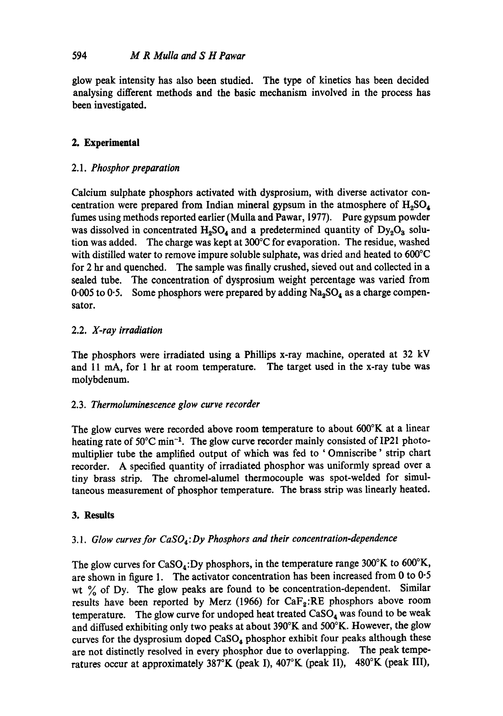glow peak intensity has also been studied. The type of kinetics has been decided analysing different methods and the basic mechanism involved in the process has been investigated.

# **2. Experimental**

## 2.1. *Phosphor preparation*

Calcium sulphate phosphors activated with dysprosium, with diverse activator concentration were prepared from Indian mineral gypsum in the atmosphere of  $H_2SO_4$ fumes using methods reported earlier (Mulla and Pawar, 1977). Pure gypsum powder was dissolved in concentrated  $H_2SO_4$  and a predetermined quantity of  $Dy_2O_3$  solution was added. The charge was kept at 300°C for evaporation. The residue, washed with distilled water to remove impure soluble sulphate, was dried and heated to 600°C for 2 hr and quenched. The sample was finally crushed, sieved out and collected in a sealed tube. The concentration of dysprosium weight percentage was varied from 0.005 to 0.5. Some phosphors were prepared by adding  $Na<sub>2</sub>SO<sub>4</sub>$  as a charge compensator.

# 2.2. *X-ray irradiation*

The phosphors were irradiated using a Phillips x-ray machine, operated at 32 kV and 11 mA, for 1 hr at room temperature. The target used in the x-ray tube was molybdenum.

## 2.3. *Thermoluminescence glow curve recorder*

The glow curves were recorded above room temperature to about 600°K at a linear heating rate of  $50^{\circ}$ C min<sup>-1</sup>. The glow curve recorder mainly consisted of IP21 photomultiplier tube the amplified output of which was fed to ' Omniscribe ' strip chart recorder. A specified quantity of irradiated phosphor was uniformly spread over a tiny brass strip. The chromel-alumel thermocouple was spot-welded for simultaneous measurement of phosphor temperature. The brass strip was linearly heated.

## **3. Results**

# *3.1. Glow curves for CaS04 : Dy Phosphors and their concentration-dependence*

The glow curves for CaSO<sub>4</sub>:Dy phosphors, in the temperature range 300°K to 600°K, are shown in figure 1. The activator concentration has been increased from  $0$  to  $0.5$ wt  $\%$  of Dy. The glow peaks are found to be concentration-dependent. Similar results have been reported by Merz (1966) for  $CaF<sub>2</sub>:RE$  phosphors above room temperature. The glow curve for undoped heat treated  $CaSO<sub>4</sub>$  was found to be weak and diffused exhibiting only two peaks at about 390°K and 500°K. However, the glow curves for the dysprosium doped  $CaSO<sub>4</sub>$  phosphor exhibit four peaks although these are not distinctly resolved in every phosphor due to overlapping. The peak temperatures occur at approximately 387°K (peak I), 407°K (peak II), 480°K (peak III),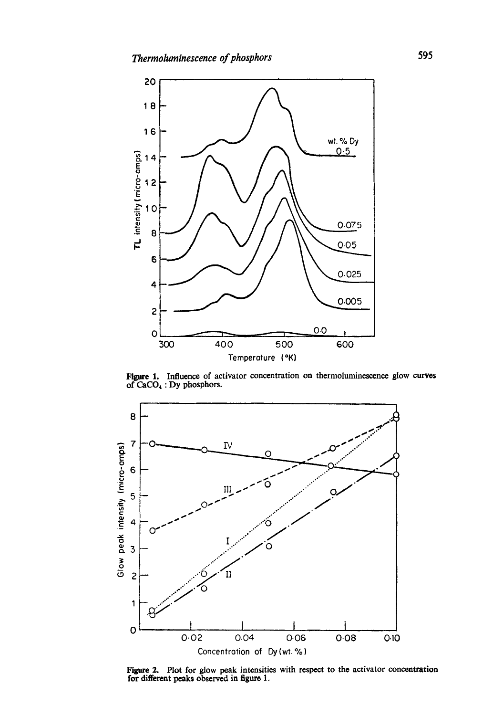

Figure I. Influence of activator concentration on thermoluminescence glow curves of  $CaCO<sub>4</sub>$ : Dy phosphors.



Figure 2. Plot for glow peak intensities with respect to the activator concentration for different peaks observed in figure 1.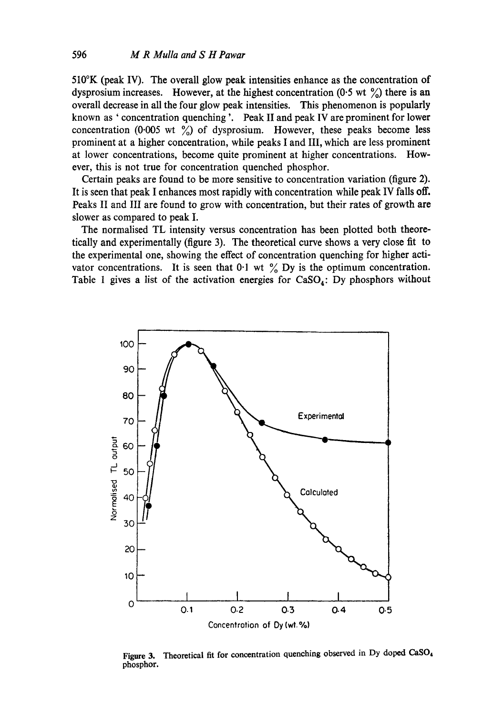510°K (peak IV). The overall glow peak intensities enhance as the concentration of dysprosium increases. However, at the highest concentration (0.5 wt  $\frac{\%}{\%}$ ) there is an overall decrease in all the four glow peak intensities. This phenomenon is popularly known as ' concentration quenching '. Peak II and peak IV are prominent for lower concentration (0.005 wt  $\frac{\%}{\%}$ ) of dysprosium. However, these peaks become less prominent at a higher concentration, while peaks I and III, which are less prominent at lower concentrations, become quite prominent at higher concentrations. However, this is not true for concentration quenched phosphor.

Certain peaks are found to be more sensitive to concentration variation (figure 2). It is seen that peak I enhances most rapidly with concentration while peak IV falls off. Peaks II and III are found to grow with concentration, but their rates of growth are slower as compared to peak I.

The normalised TL intensity versus concentration has been plotted both theoretically and experimentally (figure 3). The theoretical curve shows a very close fit to the experimental one, showing the effect of concentration quenching for higher activator concentrations. It is seen that 0.1 wt  $\frac{9}{6}$  Dy is the optimum concentration. Table 1 gives a list of the activation energies for  $CaSO<sub>4</sub>$ : Dy phosphors without



Figure 3. Theoretical fit for concentration quenching observed in Dy doped CaSO<sub>4</sub> phosphor.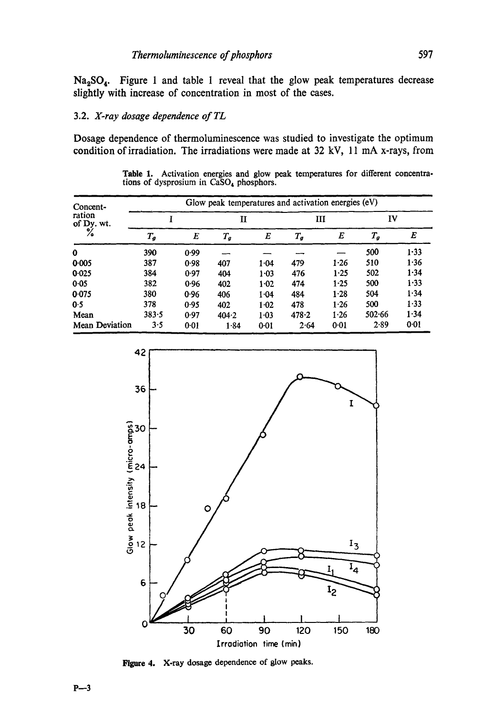$Na<sub>2</sub>SO<sub>4</sub>$ . Figure 1 and table 1 reveal that the glow peak temperatures decrease slightly with increase of concentration in most of the cases.

### 3.2. *X-ray dosage dependence of TL*

Dosage dependence of thermoluminescence was studied to investigate the optimum condition of irradiation. The irradiations were made at 32 kV, 11 mA x-rays, from

Table 1. Activation energies and glow peak temperatures for different concentrations of dysprosium in CaSO<sub>4</sub> phosphors.

| Concent-<br>ration<br>of Dy. wt. | Glow peak temperatures and activation energies (eV) |      |         |          |         |        |         |          |  |  |
|----------------------------------|-----------------------------------------------------|------|---------|----------|---------|--------|---------|----------|--|--|
|                                  |                                                     |      | Н       |          | ш       |        | IV      |          |  |  |
|                                  | $T_{\bm{g}}$                                        | E    | $T_{g}$ | E        | $T_{q}$ | E      | $T_{g}$ | E        |  |  |
| 0                                | 390                                                 | 0.99 |         |          |         |        | 500     | $1 - 33$ |  |  |
| 0.005                            | 387                                                 | 0.98 | 407     | 1.04     | 479     | 1.26   | 510     | 1.36     |  |  |
| 0.025                            | 384                                                 | 0.97 | 404     | $1 - 03$ | 476     | 1.25   | 502     | 1.34     |  |  |
| 0.05                             | 382                                                 | 0.96 | 402     | $1-02$   | 474     | $1-25$ | 500     | 1.33     |  |  |
| 0.075                            | 380                                                 | 0.96 | 406     | $1 - 04$ | 484     | 1.28   | 504     | 1.34     |  |  |
| 0.5                              | 378                                                 | 0.95 | 402     | $1-02$   | 478     | 1.26   | 500     | 1.33     |  |  |
| Mean                             | 383.5                                               | 0.97 | 404.2   | $1-03$   | 478.2   | 1.26   | 502.66  | 1.34     |  |  |
| <b>Mean Deviation</b>            | 3.5                                                 | 0.01 | 1.84    | $0 - 01$ | 2.64    | 0.01   | 2.89    | 0.01     |  |  |



**Pigure 4.**  X-ray dosage dependence of glow peaks.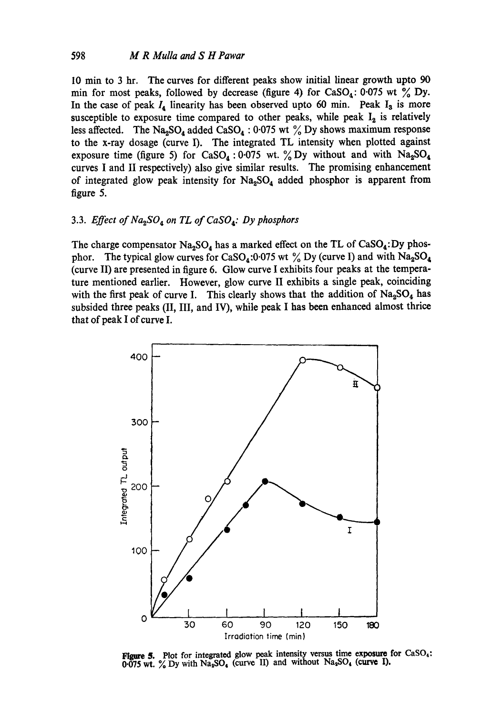10 min to 3 hr. The curves for different peaks show initial linear growth upto 90 min for most peaks, followed by decrease (figure 4) for CaSO<sub>4</sub>: 0.075 wt  $\frac{6}{6}$  Dy. In the case of peak  $I_4$  linearity has been observed upto 60 min. Peak  $I_3$  is more susceptible to exposure time compared to other peaks, while peak  $I_2$  is relatively less affected. The Na<sub>2</sub>SO<sub>4</sub> added CaSO<sub>4</sub> : 0.075 wt  $\%$  Dy shows maximum response to the x-ray dosage (curve I). The integrated TL intensity when plotted against exposure time (figure 5) for CaSO<sub>4</sub>: 0.075 wt. % Dy without and with  $Na<sub>2</sub>SO<sub>4</sub>$ curves I and II respectively) also give similar results. The promising enhancement of integrated glow peak intensity for  $Na<sub>2</sub>SO<sub>4</sub>$  added phosphor is apparent from figure 5.

#### 3.3. *Effect of Na2SO 4 on TL of CaS04: Dy phosphors*

The charge compensator  $Na<sub>2</sub>SO<sub>4</sub>$  has a marked effect on the TL of CaSO<sub>4</sub>: Dy phosphor. The typical glow curves for CaSO<sub>4</sub>:0.075 wt  $\%$  Dy (curve I) and with Na<sub>2</sub>SO<sub>4</sub> (curve II) are presented in figure 6. Glow curve I exhibits four peaks at the temperature mentioned earlier. However, glow curve II exhibits a single peak, coinciding with the first peak of curve I. This clearly shows that the addition of  $Na<sub>2</sub>SO<sub>4</sub>$  has subsided three peaks (II, III, and IV), while peak I has been enhanced almost thrice that of peak I of curve I.



**Figure 5.** Plot for integrated glow peak intensity versus time exposure for CaSO<sub>4</sub>:  $0.075$  wt.  $\frac{\%}{\%}$  Dy with Na<sub>3</sub>SO<sub>4</sub> (curve II) and without Na<sub>3</sub>SO<sub>4</sub> (curve I).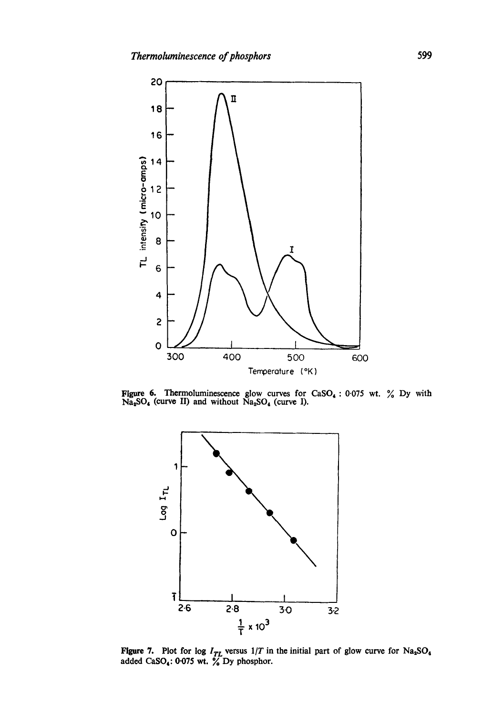

Figure 6. Thermoluminescence glow curves for  $CaSO<sub>4</sub>$ : 0.075 wt.  $\%$  Dy with  $Na<sub>4</sub>SO<sub>4</sub>$  (curve II) and without  $Na<sub>2</sub>SO<sub>4</sub>$  (curve I).



Figure 7. Plot for log  $I_{TL}$  versus  $1/T$  in the initial part of glow curve for Na<sub>2</sub>SO<sub>4</sub> added  $CaSO_4$ : 0.075 wt.  $\%$  Dy phosphor.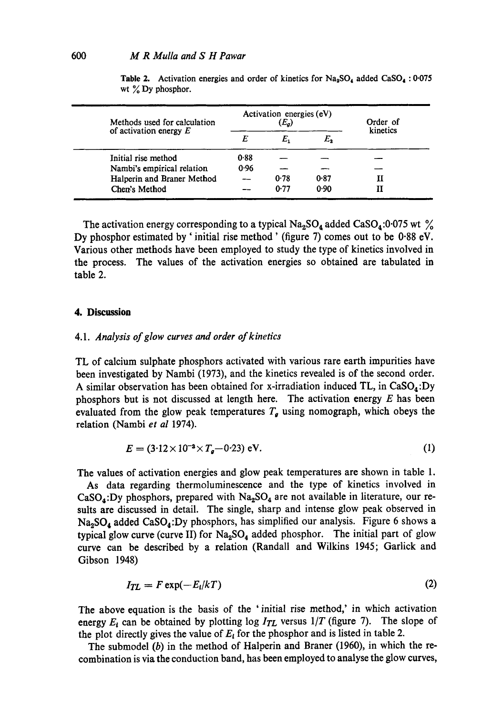| Methods used for calculation |      | Activation energies (eV)<br>$(E_a)$ | Order of<br>kinetics |  |  |
|------------------------------|------|-------------------------------------|----------------------|--|--|
| of activation energy $E$     | E    | E,                                  | E,                   |  |  |
| Initial rise method          | 0.88 |                                     |                      |  |  |
| Nambi's empirical relation   | 0.96 |                                     |                      |  |  |
| Halperin and Braner Method   |      | 0.78                                | $0-87$               |  |  |
| Chen's Method                |      | 0.77                                | 0.90                 |  |  |

**Table 2.** Activation energies and order of kinetics for  $Na<sub>2</sub>SO<sub>4</sub>$  added  $CaSO<sub>4</sub> : 0.075$ wt  $\%$  Dy phosphor.

The activation energy corresponding to a typical  $\text{Na}_2\text{SO}_4$  added  $\text{CaSO}_4$ :0.075 wt  $\%$ Dy phosphor estimated by ' initial rise method' (figure 7) comes out to be 0.88 eV. Various other methods have been employed to study the type of kinetics involved in the process. The values of the activation energies so obtained are tabulated in table 2.

#### **4. Discussion**

#### 4.1. *Analysis of glow curves and order of kinetics*

TL of calcium sulphate phosphors activated with various rare earth impurities have been investigated by Nambi (1973), and the kinetics revealed is of the second order. A similar observation has been obtained for x-irradiation induced TL, in  $CaSO<sub>4</sub>:Dy$ phosphors but is not discussed at length here. The activation energy  $E$  has been evaluated from the glow peak temperatures  $T<sub>g</sub>$  using nomograph, which obeys the relation (Nambi *et al* 1974).

$$
E = (3.12 \times 10^{-3} \times T_g - 0.23) \text{ eV}.
$$
 (1)

The values of activation energies and glow peak temperatures are shown in table 1.

As data regarding thermoluminescence and the type of kinetics involved in  $CaSO_4:Dy$  phosphors, prepared with  $Na_2SO_4$  are not available in literature, our results are discussed in detail. The single, sharp and intense glow peak observed in  $Na<sub>2</sub>SO<sub>4</sub>$  added CaSO<sub>4</sub>: Dy phosphors, has simplified our analysis. Figure 6 shows a typical glow curve (curve II) for  $Na<sub>2</sub>SO<sub>4</sub>$  added phosphor. The initial part of glow curve can be described by a relation (Randall and Wilkins 1945; Garlick and Gibson 1948)

$$
I_{TL} = F \exp(-E_i/kT) \tag{2}
$$

The above equation is the basis of the 'initial rise method,' in which activation energy  $E_i$  can be obtained by plotting log  $I_{TL}$  versus  $1/T$  (figure 7). The slope of the plot directly gives the value of  $E_i$  for the phosphor and is listed in table 2.

The submodel (b) in the method of Halperin and Braner (1960), in which the recombination is via the conduction band, has been employed to analyse the glow curves,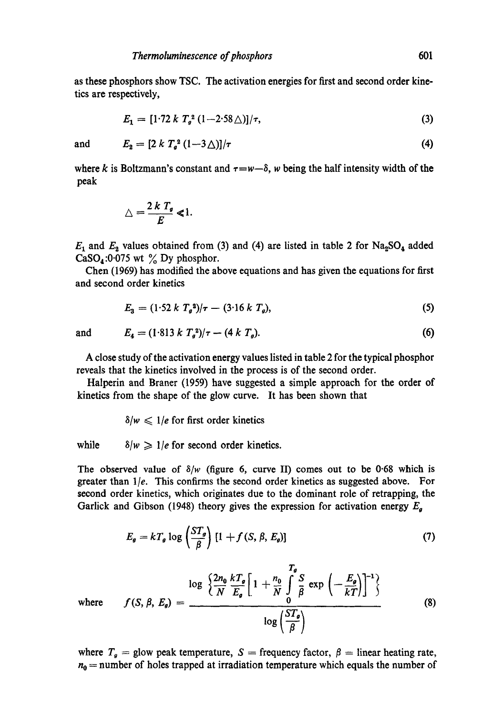as these phosphors show TSC. The activation energies for first and second order kinetics are respectively,

$$
E_1 = [1.72 \, k \, T_g^2 \, (1-2.58 \,\triangle)]/\tau, \tag{3}
$$

and 
$$
E_2 = [2k T_g^2 (1-3\Delta)]/\tau
$$
 (4)

where k is Boltzmann's constant and  $\tau = w - \delta$ , w being the half intensity width of the peak

$$
\triangle = \frac{2 k T_g}{E} \ll 1.
$$

 $E_1$  and  $E_2$  values obtained from (3) and (4) are listed in table 2 for Na<sub>2</sub>SO<sub>4</sub> added CaSO<sub>4</sub>:0.075 wt  $\frac{9}{6}$  Dy phosphor.

Chen (1969) has modified the above equations and has given the equations for first and second order kinetics

$$
E_3 = (1.52 \ k \ T_g^2)/\tau - (3.16 \ k \ T_g), \tag{5}
$$

and 
$$
E_4 = (1.813 \times T_g^2)/\tau - (4 \times T_g).
$$
 (6)

A close study of the activation energy values listed in table 2 for the typical phosphor reveals that the kinetics involved in the process is of the second order.

Halperin and Braner (1959) have suggested a simple approach for the order of kinetics from the shape of the glow curve. It has been shown that

 $\delta/w \leq 1/e$  for first order kinetics

while  $\delta/w \geq 1/e$  for second order kinetics.

The observed value of  $\delta/w$  (figure 6, curve II) comes out to be 0.68 which is greater than *lie.* This confirms the second order kinetics as suggested above. For second order kinetics, which originates due to the dominant role of retrapping, the Garlick and Gibson (1948) theory gives the expression for activation energy  $E_a$ 

$$
E_g = kT_g \log \left(\frac{ST_g}{\beta}\right) [1 + f(S, \beta, E_g)] \tag{7}
$$

where 
$$
f(S, \beta, E_g) = \frac{\log \left\{ \frac{2n_0}{N} \frac{kT_g}{E_g} \left[ 1 + \frac{n_0}{N} \int\limits_0^T \frac{S}{\beta} \exp \left( -\frac{E_g}{kT} \right) \right]^{-1} \right\}}{\log \left( \frac{ST_g}{\beta} \right)}
$$
(8)

where  $T_g$  = glow peak temperature, S = frequency factor,  $\beta$  = linear heating rate,  $n_0$  = number of holes trapped at irradiation temperature which equals the number of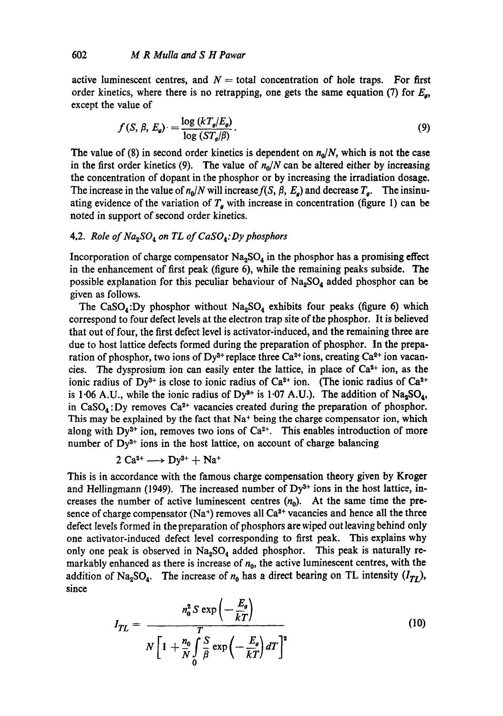active luminescent centres, and  $N =$  total concentration of hole traps. For first order kinetics, where there is no retrapping, one gets the same equation (7) for  $E_{\alpha}$ , except the value of

$$
f(S, \beta, E_g) = \frac{\log (kT_g/E_g)}{\log (ST_g/\beta)}.
$$
\n(9)

The value of (8) in second order kinetics is dependent on  $n_0/N$ , which is not the case in the first order kinetics (9). The value of  $n_0/N$  can be altered either by increasing the concentration of dopant in the phosphor or by increasing the irradiation dosage. The increase in the value of  $n_0/N$  will increase  $f(S, \beta, E_g)$  and decrease  $T_g$ . The insinuating evidence of the variation of  $T<sub>g</sub>$  with increase in concentration (figure 1) can be noted in support of second order kinetics.

### 4.2. *Role of Na2SO 4 on TL of CaSO4:Dy phosphors*

Incorporation of charge compensator  $Na<sub>2</sub>SO<sub>4</sub>$  in the phosphor has a promising effect in the enhancement of first peak (figure 6), while the remaining peaks subside. The possible explanation for this peculiar behaviour of Na<sub>2</sub>SO<sub>4</sub> added phosphor can be given as follows.

The CaSO<sub>4</sub>: Dy phosphor without  $Na<sub>2</sub>SO<sub>4</sub>$  exhibits four peaks (figure 6) which correspond to four defect levels at the electron trap site of the phosphor. It is believed that out of four, the first defect level is activator-induced, and the remaining three are due to host lattice defects formed during the preparation of phosphor. In the preparation of phosphor, two ions of Dy<sup>3+</sup> replace three Ca<sup>2+</sup> ions, creating Ca<sup>2+</sup> ion vacancies. The dysprosium ion can easily enter the lattice, in place of  $Ca<sup>2+</sup>$  ion, as the ionic radius of Dy<sup>3+</sup> is close to ionic radius of Ca<sup>2+</sup> ion. (The ionic radius of Ca<sup>2+</sup> is 1.06 A.U., while the ionic radius of Dy<sup>3+</sup> is 1.07 A.U.). The addition of  $Na<sub>2</sub>SO<sub>4</sub>$ , in CaSO<sub>4</sub>: Dy removes Ca<sup>2+</sup> vacancies created during the preparation of phosphor. This may be explained by the fact that  $Na<sup>+</sup>$  being the charge compensator ion, which along with Dy<sup>3+</sup> ion, removes two ions of  $Ca<sup>2+</sup>$ . This enables introduction of more number of  $Dy^{3+}$  ions in the host lattice, on account of charge balancing

$$
2 Ca^{2+} \longrightarrow Dy^{3+} + Na^{+}
$$

addition of Na<sub>2</sub>SO<sub>4</sub>. The increase of  $n_0$  has a direct bearing on TL intensity  $(I_{TL})$ , since This is in accordance with the famous charge compensation theory given by Kroger and Hellingmann (1949). The increased number of  $Dy^{3+}$  ions in the host lattice, increases the number of active luminescent centres  $(n_0)$ . At the same time the presence of charge compensator (Na<sup>+</sup>) removes all  $Ca<sup>2+</sup>$  vacancies and hence all the three defect levels formed in the preparation of phosphors are wiped out leaving behind only one activator-induced defect level corresponding to first peak. This explains why only one peak is observed in  $Na<sub>2</sub>SO<sub>4</sub>$  added phosphor. This peak is naturally remarkably enhanced as there is increase of  $n_0$ , the active luminescent centres, with the

$$
I_{TL} = \frac{n_0^2 S \exp\left(-\frac{E_g}{kT}\right)}{N\left[1 + \frac{n_0}{N}\int\limits_0^S \frac{\exp\left(-\frac{E_g}{kT}\right)}{B} dT\right]^2}
$$
(10)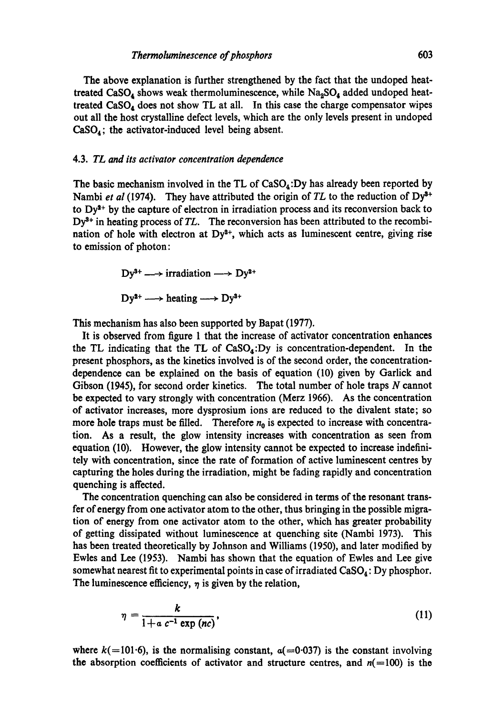The above explanation is further strengthened by the fact that the undoped heattreated CaSO<sub>4</sub> shows weak thermoluminescence, while  $Na<sub>2</sub>SO<sub>4</sub>$  added undoped heattreated  $CaSO_4$  does not show TL at all. In this case the charge compensator wipes out all the host crystalline defect levels, which are the only levels present in undoped  $CaSO<sub>4</sub>$ ; the activator-induced level being absent.

#### 4.3. *TL and its activator concentration dependence*

The basic mechanism involved in the TL of  $CaSO<sub>4</sub>:Dy$  has already been reported by Nambi *et al* (1974). They have attributed the origin of *TL* to the reduction of Dy<sup>3+</sup> to  $Dy^{2+}$  by the capture of electron in irradiation process and its reconversion back to Dy<sup>3+</sup> in heating process of *TL*. The reconversion has been attributed to the recombination of hole with electron at  $Dy^{2+}$ , which acts as luminescent centre, giving rise to emission of photon:

> $Dy^{3+} \longrightarrow \text{irradiation} \longrightarrow Dy^{2+}$  $Dv^{2+} \longrightarrow$  heating  $\longrightarrow Dv^{3+}$

This mechanism has also been supported by Bapat (1977).

It is observed from figure I that the increase of activator concentration enhances the TL indicating that the TL of  $CaSO<sub>4</sub>:Dy$  is concentration-dependent. In the present phosphors, as the kinetics involved is of the second order, the concentrationdependence can be explained on the basis of equation (I0) given by Garlick and Gibson (1945), for second order kinetics. The total number of hole traps N cannot be expected to vary strongly with concentration (Merz 1966). As the concentration of activator increases, more dysprosium ions are reduced to the divalent state; so more hole traps must be filled. Therefore  $n_0$  is expected to increase with concentration. As a result, the glow intensity increases with concentration as seen from equation (I0). However, the glow intensity cannot be expected to increase indefinitely with concentration, since the rate of formation of active luminescent centres by capturing the holes during the irradiation, might be fading rapidly and concentration quenching is affected.

The concentration quenching can also be considered in terms of the resonant transfer of energy from one activator atom to the other, thus bringing in the possible migration of energy from one activator atom to the other, which has greater probability of getting dissipated without luminescence at quenching site (Nambi 1973). This has been treated theoretically by Johnson and Williams (1950), and later modified by Ewles and Lee (1953). Nambi has shown that the equation of Ewles and Lee give somewhat nearest fit to experimental points in case of irradiated  $CaSO<sub>4</sub>$ : Dy phosphor. The luminescence efficiency,  $\eta$  is given by the relation,

$$
\eta = \frac{k}{1 + a c^{-1} \exp (nc)},\tag{11}
$$

where  $k(=101.6)$ , is the normalising constant,  $a(=0.037)$  is the constant involving the absorption coefficients of activator and structure centres, and  $n(=100)$  is the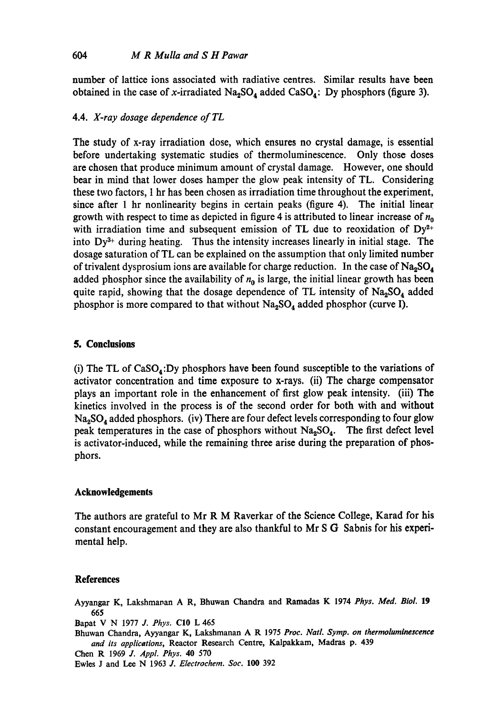number of lattice ions associated with radiative centres. Similar results have been obtained in the case of x-irradiated  $Na<sub>2</sub>SO<sub>4</sub>$  added CaSO<sub>4</sub>: Dy phosphors (figure 3).

### 4.4. *X-ray dosage dependence of TL*

The study of x-ray irradiation dose, which ensures no crystal damage, is essential before undertaking systematic studies of thermoluminescence. Only those doses are chosen that produce minimum amount of crystal damage. However, one should bear in mind that lower doses hamper the glow peak intensity of TL. Considering these two factors, 1 hr has been chosen as irradiation time throughout the experiment, since after 1 hr nonlinearity begins in certain peaks (figure 4). The initial linear growth with respect to time as depicted in figure 4 is attributed to linear increase of  $n_0$ with irradiation time and subsequent emission of TL due to reoxidation of  $Dy^{2+}$ into  $Dy^{3+}$  during heating. Thus the intensity increases linearly in initial stage. The dosage saturation of TL can be explained on the assumption that only limited number of trivalent dysprosium ions are available for charge reduction. In the case of  $\text{Na}_2\text{SO}_4$ added phosphor since the availability of  $n_0$  is large, the initial linear growth has been quite rapid, showing that the dosage dependence of TL intensity of  $Na<sub>2</sub>SO<sub>4</sub>$  added phosphor is more compared to that without  $Na<sub>2</sub>SO<sub>4</sub>$  added phosphor (curve I).

#### **5. Conclusions**

(i) The TL of  $CaSO<sub>4</sub>:Dy$  phosphors have been found susceptible to the variations of activator concentration and time exposure to x-rays. (ii) The charge compensator plays an important role in the enhancement of first glow peak intensity. (iii) The kinetics involved in the process is of the second order for both with and without  $Na<sub>2</sub>SO<sub>4</sub>$  added phosphors. (iv) There are four defect levels corresponding to four glow peak temperatures in the case of phosphors without  $Na<sub>2</sub>SO<sub>4</sub>$ . The first defect level is activator-induced, while the remaining three arise during the preparation of phosphors.

### **Acknowledgements**

The authors are grateful to Mr R M Raverkar of the Science College, Karad for his constant encouragement and they are also thankful to Mr S G Sabnis for his experimental help.

#### **References**

Ayyangar K, Lakshmapan A R, Bhuwan Chandra and Ramadas K 1974 *Phys. Med. Biol.* 19 **665** 

Bapat V N 1977 *J. Phys.* CI0 L 465

- Bhuwan Chandra, Ayyangar K, Lakshmanan A R 1975 *Proc. Natl. Symp. on thermoluminexcenee and its applications,* Reactor Research Centre, Kalpakkam, Madras p. 439
- Chen R 1969 *J. Appl. Phys.* 40 570

Ewles J and Lee N 1963 *J. Electrochem. Soc.* **100** 392